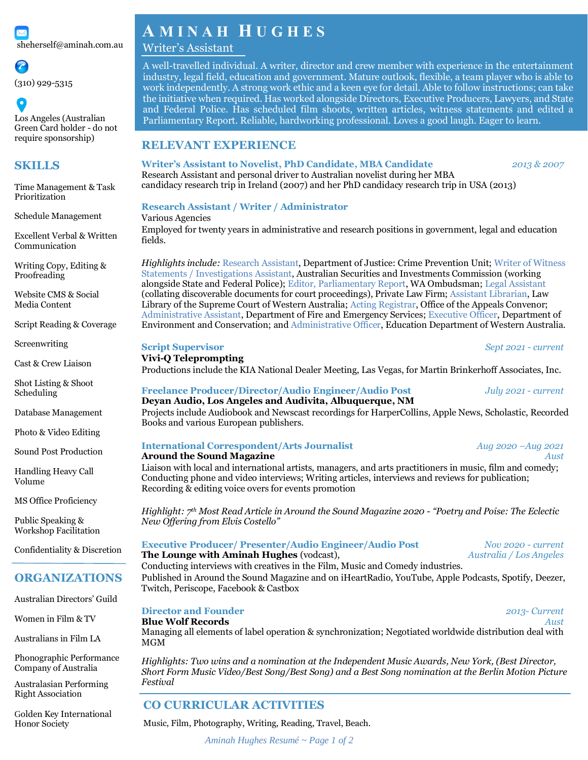

Los Angeles (Australian Green Card holder - do not require sponsorship)

Schedule Management

Excellent Verbal & Written

Writing Copy, Editing &

Website CMS & Social Media Content

Script Reading & Coverage

(310) 929-5315

**SKILLS**

Prioritization

Communication

Proofreading

Screenwriting

Scheduling

Volume

Cast & Crew Liaison

Shot Listing & Shoot

Database Management

Photo & Video Editing Sound Post Production

Handling Heavy Call

MS Office Proficiency

Confidentiality & Discretion

**ORGANIZATIONS**

Australian Directors' Guild

Women in Film & TV

Australians in Film LA

Phonographic Performance Company of Australia Australasian Performing Right Association

Golden Key International

Honor Society

Public Speaking & Workshop Facilitation

# **A M I N A H H U G H E S**

# Writer's Assistant

A well-travelled individual. A writer, director and crew member with experience in the entertainment industry, legal field, education and government. Mature outlook, flexible, a team player who is able to work independently. A strong work ethic and a keen eye for detail. Able to follow instructions; can take the initiative when required. Has worked alongside Directors, Executive Producers, Lawyers, and State and Federal Police. Has scheduled film shoots, written articles, witness statements and edited a Parliamentary Report. Reliable, hardworking professional. Loves a good laugh. Eager to learn.

# **RELEVANT EXPERIENCE**

**Writer's Assistant to Novelist, PhD Candidate, MBA Candidate** *2013 & 2007*

Time Management & Task Research Assistant and personal driver to Australian novelist during her MBA candidacy research trip in Ireland (2007) and her PhD candidacy research trip in USA (2013)

### **Research Assistant / Writer / Administrator**

Various Agencies Employed for twenty years in administrative and research positions in government, legal and education fields.

*Highlights include:* Research Assistant, Department of Justice: Crime Prevention Unit; Writer of Witness Statements / Investigations Assistant, Australian Securities and Investments Commission (working alongside State and Federal Police); Editor, Parliamentary Report, WA Ombudsman; Legal Assistant (collating discoverable documents for court proceedings), Private Law Firm; Assistant Librarian, Law Library of the Supreme Court of Western Australia; Acting Registrar, Office of the Appeals Convenor; Administrative Assistant, Department of Fire and Emergency Services; Executive Officer, Department of Environment and Conservation; and Administrative Officer, Education Department of Western Australia.

**Script Supervisor** *Sept 2021 - current*

### **Vivi-Q Teleprompting**

Productions include the KIA National Dealer Meeting, Las Vegas, for Martin Brinkerhoff Associates, Inc.

### **Freelance Producer/Director/Audio Engineer/Audio Post** *July 2021 - current* **Deyan Audio, Los Angeles and Audivita, Albuquerque, NM**

Projects include Audiobook and Newscast recordings for HarperCollins, Apple News, Scholastic, Recorded Books and various European publishers.

### **International Correspondent/Arts Journalist** *Aug 2020 –Aug 2021* **Around the Sound Magazine** *Aust Aust*

Liaison with local and international artists, managers, and arts practitioners in music, film and comedy; Conducting phone and video interviews; Writing articles, interviews and reviews for publication; Recording & editing voice overs for events promotion

*Highlight: 7 th Most Read Article in Around the Sound Magazine 2020 - "Poetry and Poise: The Eclectic New Offering from Elvis Costello"*

### **Executive Producer/ Presenter/Audio Engineer/Audio Post** *Nov 2020 - current*

**The Lounge with Aminah Hughes** (vodcast), *Australia / Los Angeles* Conducting interviews with creatives in the Film, Music and Comedy industries.

Published in Around the Sound Magazine and on iHeartRadio, YouTube, Apple Podcasts, Spotify, Deezer, Twitch, Periscope, Facebook & Castbox

# **Director and Founder** *2013- Current*

**Blue Wolf Records** *Aust*

Managing all elements of label operation & synchronization; Negotiated worldwide distribution deal with MGM

*Highlights: Two wins and a nomination at the Independent Music Awards, New York, (Best Director, Short Form Music Video/Best Song/Best Song) and a Best Song nomination at the Berlin Motion Picture Festival*

# **CO CURRICULAR ACTIVITIES**

Music, Film, Photography, Writing, Reading, Travel, Beach.

*Aminah Hughes Resumé ~ Page 1 of 2*